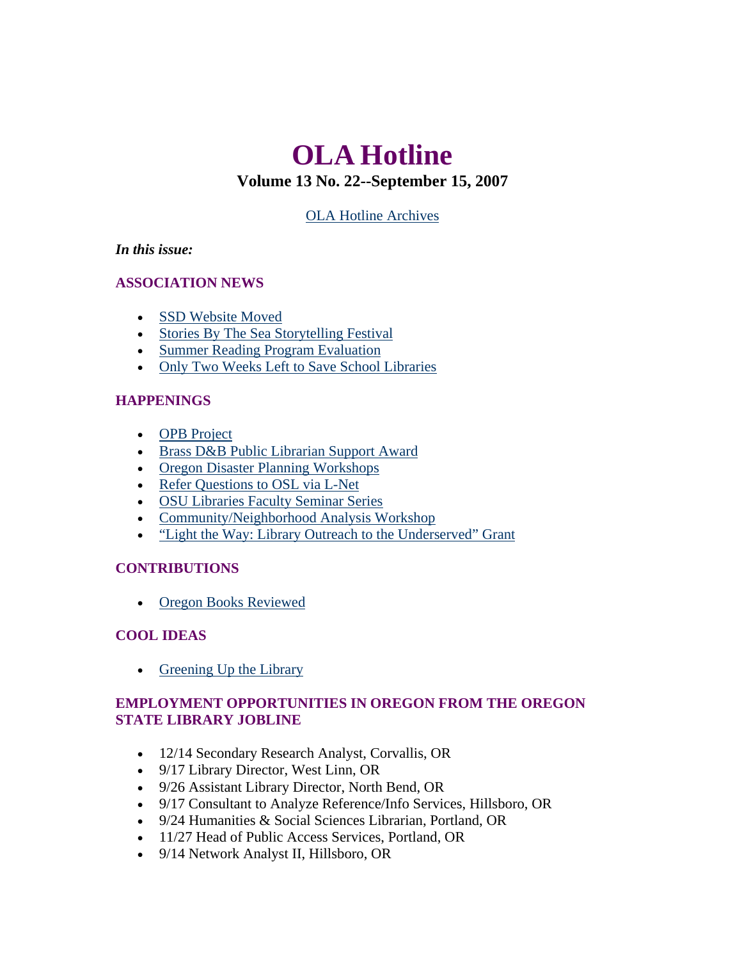# **OLA Hotline**

# **Volume 13 No. 22--September 15, 2007**

[OLA Hotline Archives](http://olaweb.org/hotline/index.shtml)

### <span id="page-0-0"></span>*In this issue:*

### **ASSOCIATION NEWS**

- [SSD Website Moved](#page-1-0)
- [Stories By The Sea Storytelling Festival](#page-1-0)
- [Summer Reading Program Evaluation](#page-2-0)
- [Only Two Weeks Left to Save School Libraries](#page-2-0)

### **HAPPENINGS**

- [OPB Project](#page-3-0)
- [Brass D&B Public Librarian Support Award](#page-0-0)
- [Oregon Disaster Planning Workshops](#page-0-0)
- [Refer Questions to OSL via L-Net](#page-3-0)
- [OSU Libraries Faculty Seminar Series](#page-3-0)
- [Community/Neighborhood Analysis Workshop](#page-4-0)
- ["Light the Way: Library Outreach to the Underserved" Grant](#page-4-0)

### **CONTRIBUTIONS**

• [Oregon Books Reviewed](#page-5-0)

## **COOL IDEAS**

• [Greening Up the Library](#page-6-0)

### **EMPLOYMENT OPPORTUNITIES IN OREGON FROM THE OREGON STATE LIBRARY JOBLINE**

- 12/14 Secondary Research Analyst, Corvallis, OR
- 9/17 Library Director, West Linn, OR
- 9/26 Assistant Library Director, North Bend, OR
- 9/17 Consultant to Analyze Reference/Info Services, Hillsboro, OR
- 9/24 Humanities & Social Sciences Librarian, Portland, OR
- 11/27 Head of Public Access Services, Portland, OR
- 9/14 Network Analyst II, Hillsboro, OR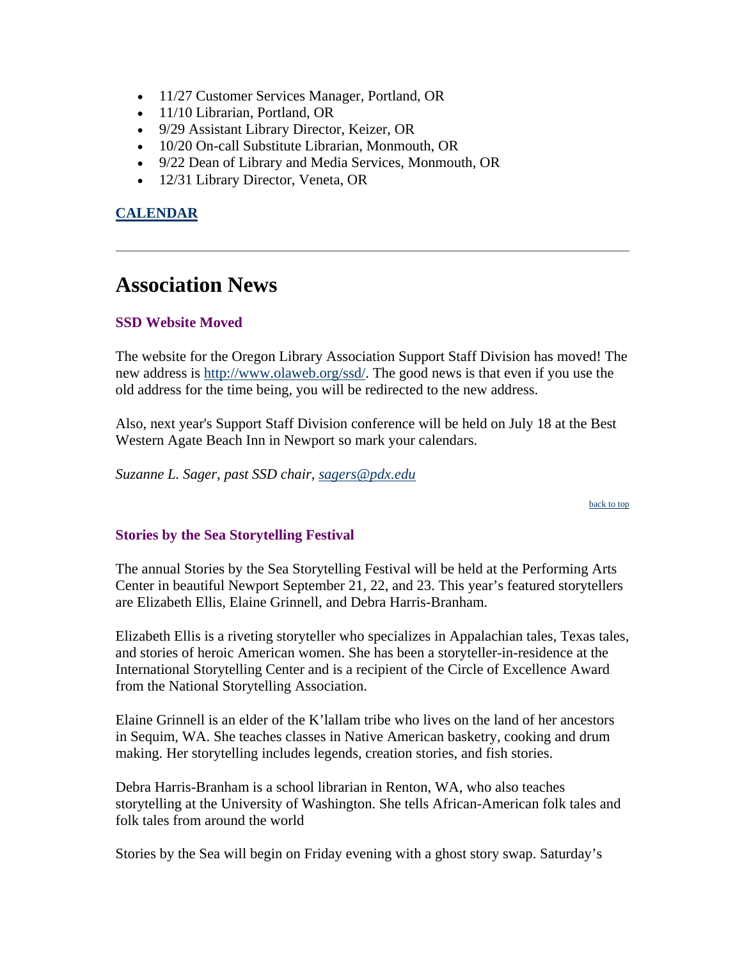- <span id="page-1-0"></span>• 11/27 Customer Services Manager, Portland, OR
- 11/10 Librarian, Portland, OR
- 9/29 Assistant Library Director, Keizer, OR
- 10/20 On-call Substitute Librarian, Monmouth, OR
- 9/22 Dean of Library and Media Services, Monmouth, OR
- 12/31 Library Director, Veneta, OR

### **[CALENDAR](http://web.memberclicks.com/mc/community/vieweventcalendar.do?orgId=ola)**

# **Association News**

### **SSD Website Moved**

The website for the Oregon Library Association Support Staff Division has moved! The new address is [http://www.olaweb.org/ssd/.](http://www.olaweb.org/ssd/) The good news is that even if you use the old address for the time being, you will be redirected to the new address.

Also, next year's Support Staff Division conference will be held on July 18 at the Best Western Agate Beach Inn in Newport so mark your calendars.

*Suzanne L. Sager, past SSD chair, [sagers@pdx.edu](mailto:sagers@pdx.edu)*

[back to top](#page-0-0)

### **Stories by the Sea Storytelling Festival**

The annual Stories by the Sea Storytelling Festival will be held at the Performing Arts Center in beautiful Newport September 21, 22, and 23. This year's featured storytellers are Elizabeth Ellis, Elaine Grinnell, and Debra Harris-Branham.

Elizabeth Ellis is a riveting storyteller who specializes in Appalachian tales, Texas tales, and stories of heroic American women. She has been a storyteller-in-residence at the International Storytelling Center and is a recipient of the Circle of Excellence Award from the National Storytelling Association.

Elaine Grinnell is an elder of the K'lallam tribe who lives on the land of her ancestors in Sequim, WA. She teaches classes in Native American basketry, cooking and drum making. Her storytelling includes legends, creation stories, and fish stories.

Debra Harris-Branham is a school librarian in Renton, WA, who also teaches storytelling at the University of Washington. She tells African-American folk tales and folk tales from around the world

Stories by the Sea will begin on Friday evening with a ghost story swap. Saturday's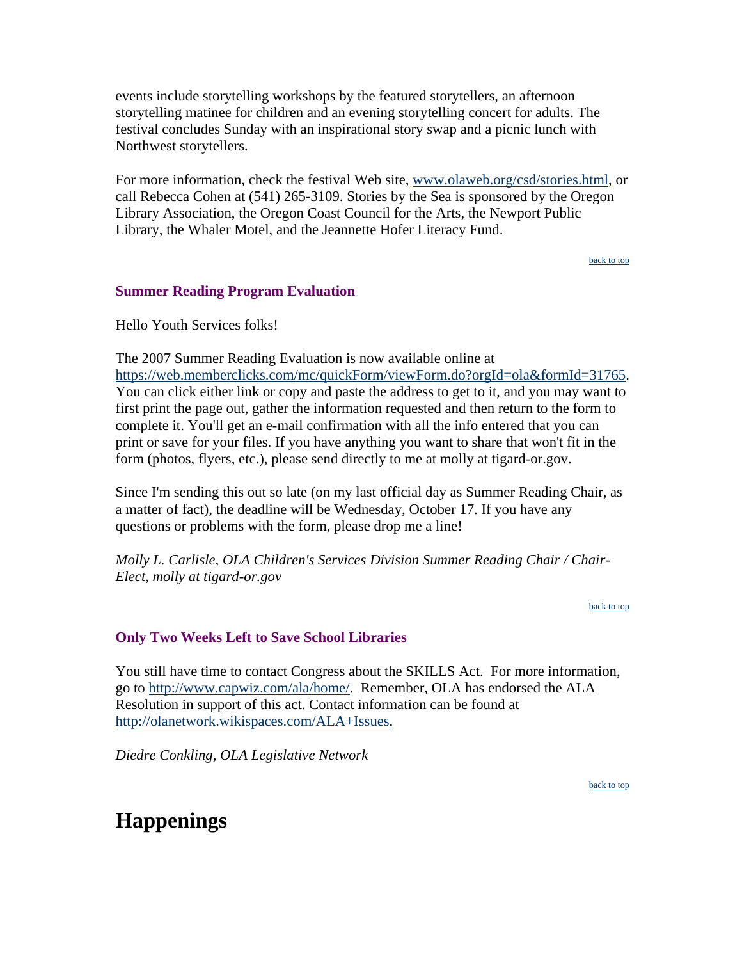<span id="page-2-0"></span>events include storytelling workshops by the featured storytellers, an afternoon storytelling matinee for children and an evening storytelling concert for adults. The festival concludes Sunday with an inspirational story swap and a picnic lunch with Northwest storytellers.

For more information, check the festival Web site, [www.olaweb.org/csd/stories.html](http://www.olaweb.org/csd/stories.html), or call Rebecca Cohen at (541) 265-3109. Stories by the Sea is sponsored by the Oregon Library Association, the Oregon Coast Council for the Arts, the Newport Public Library, the Whaler Motel, and the Jeannette Hofer Literacy Fund.

[back to top](#page-0-0)

#### **Summer Reading Program Evaluation**

Hello Youth Services folks!

The 2007 Summer Reading Evaluation is now available online at [https://web.memberclicks.com/mc/quickForm/viewForm.do?orgId=ola&formId=31765.](https://web.memberclicks.com/mc/quickForm/viewForm.do?orgId=ola&formId=31765) You can click either link or copy and paste the address to get to it, and you may want to first print the page out, gather the information requested and then return to the form to complete it. You'll get an e-mail confirmation with all the info entered that you can print or save for your files. If you have anything you want to share that won't fit in the form (photos, flyers, etc.), please send directly to me at molly at tigard-or.gov.

Since I'm sending this out so late (on my last official day as Summer Reading Chair, as a matter of fact), the deadline will be Wednesday, October 17. If you have any questions or problems with the form, please drop me a line!

*Molly L. Carlisle, OLA Children's Services Division Summer Reading Chair / Chair-Elect, molly at tigard-or.gov*

[back to top](#page-0-0)

#### **Only Two Weeks Left to Save School Libraries**

You still have time to contact Congress about the SKILLS Act. For more information, go to [http://www.capwiz.com/ala/home/.](http://www.capwiz.com/ala/home/) Remember, OLA has endorsed the ALA Resolution in support of this act. Contact information can be found at [http://olanetwork.wikispaces.com/ALA+Issues](http://olanetwork.wikispaces.com/ALA+Issues%C2%A0).

*Diedre Conkling, OLA Legislative Network*

[back to top](#page-0-0)

# **Happenings**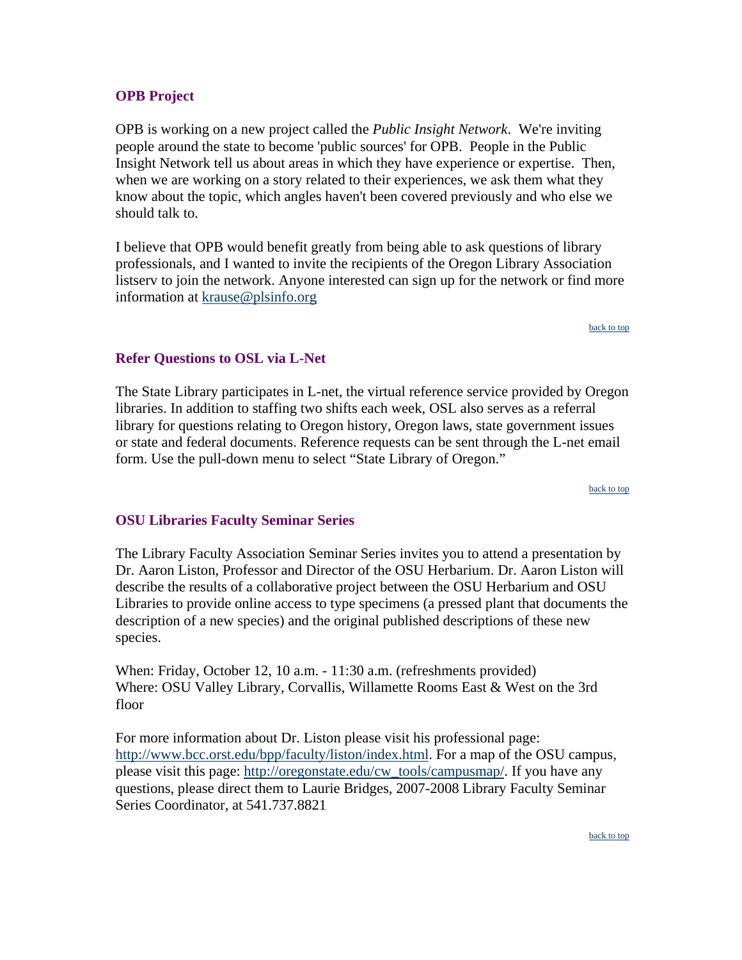### <span id="page-3-0"></span>**OPB Project**

OPB is working on a new project called the *Public Insight Network*. We're inviting people around the state to become 'public sources' for OPB. People in the Public Insight Network tell us about areas in which they have experience or expertise. Then, when we are working on a story related to their experiences, we ask them what they know about the topic, which angles haven't been covered previously and who else we should talk to.

I believe that OPB would benefit greatly from being able to ask questions of library professionals, and I wanted to invite the recipients of the Oregon Library Association listserv to join the network. Anyone interested can sign up for the network or find more information at [krause@plsinfo.org](http://www.opb.org/publicinsight%3Ewww.opb.org/publicinsight.%3C/a%3E%3C/p%3E%3Cp%20align=)

[back to top](#page-0-0)

#### **Refer Questions to OSL via L-Net**

The State Library participates in L-net, the virtual reference service provided by Oregon libraries. In addition to staffing two shifts each week, OSL also serves as a referral library for questions relating to Oregon history, Oregon laws, state government issues or state and federal documents. Reference requests can be sent through the L-net email form. Use the pull-down menu to select "State Library of Oregon."

[back to top](#page-0-0)

#### **OSU Libraries Faculty Seminar Series**

The Library Faculty Association Seminar Series invites you to attend a presentation by Dr. Aaron Liston, Professor and Director of the OSU Herbarium. Dr. Aaron Liston will describe the results of a collaborative project between the OSU Herbarium and OSU Libraries to provide online access to type specimens (a pressed plant that documents the description of a new species) and the original published descriptions of these new species.

When: Friday, October 12, 10 a.m. - 11:30 a.m. (refreshments provided) Where: OSU Valley Library, Corvallis, Willamette Rooms East & West on the 3rd floor

For more information about Dr. Liston please visit his professional page: <http://www.bcc.orst.edu/bpp/faculty/liston/index.html>. For a map of the OSU campus, please visit this page: [http://oregonstate.edu/cw\\_tools/campusmap/](http://oregonstate.edu/cw_tools/campusmap/). If you have any questions, please direct them to Laurie Bridges, 2007-2008 Library Faculty Seminar Series Coordinator, at 541.737.8821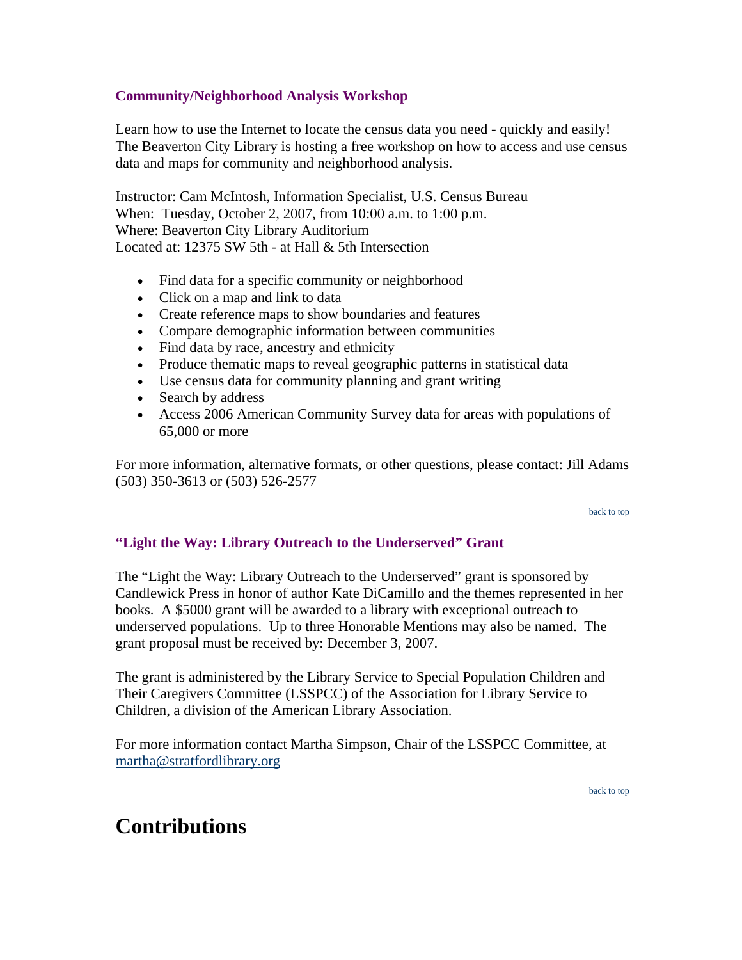### <span id="page-4-0"></span>**Community/Neighborhood Analysis Workshop**

Learn how to use the Internet to locate the census data you need - quickly and easily! The Beaverton City Library is hosting a free workshop on how to access and use census data and maps for community and neighborhood analysis.

Instructor: Cam McIntosh, Information Specialist, U.S. Census Bureau When: Tuesday, October 2, 2007, from 10:00 a.m. to 1:00 p.m. Where: Beaverton City Library Auditorium Located at: 12375 SW 5th - at Hall & 5th Intersection

- Find data for a specific community or neighborhood
- Click on a map and link to data
- Create reference maps to show boundaries and features
- Compare demographic information between communities
- Find data by race, ancestry and ethnicity
- Produce thematic maps to reveal geographic patterns in statistical data
- Use census data for community planning and grant writing
- Search by address
- Access 2006 American Community Survey data for areas with populations of 65,000 or more

For more information, alternative formats, or other questions, please contact: Jill Adams (503) 350-3613 or (503) 526-2577

[back to top](#page-0-0)

### **"Light the Way: Library Outreach to the Underserved" Grant**

The "Light the Way: Library Outreach to the Underserved" grant is sponsored by Candlewick Press in honor of author Kate DiCamillo and the themes represented in her books. A \$5000 grant will be awarded to a library with exceptional outreach to underserved populations. Up to three Honorable Mentions may also be named. The grant proposal must be received by: December 3, 2007.

The grant is administered by the Library Service to Special Population Children and Their Caregivers Committee (LSSPCC) of the Association for Library Service to Children, a division of the American Library Association.

For more information contact Martha Simpson, Chair of the LSSPCC Committee, at [martha@stratfordlibrary.org](mailto:martha@stratfordlibrary.org)

[back to top](#page-0-0)

# **Contributions**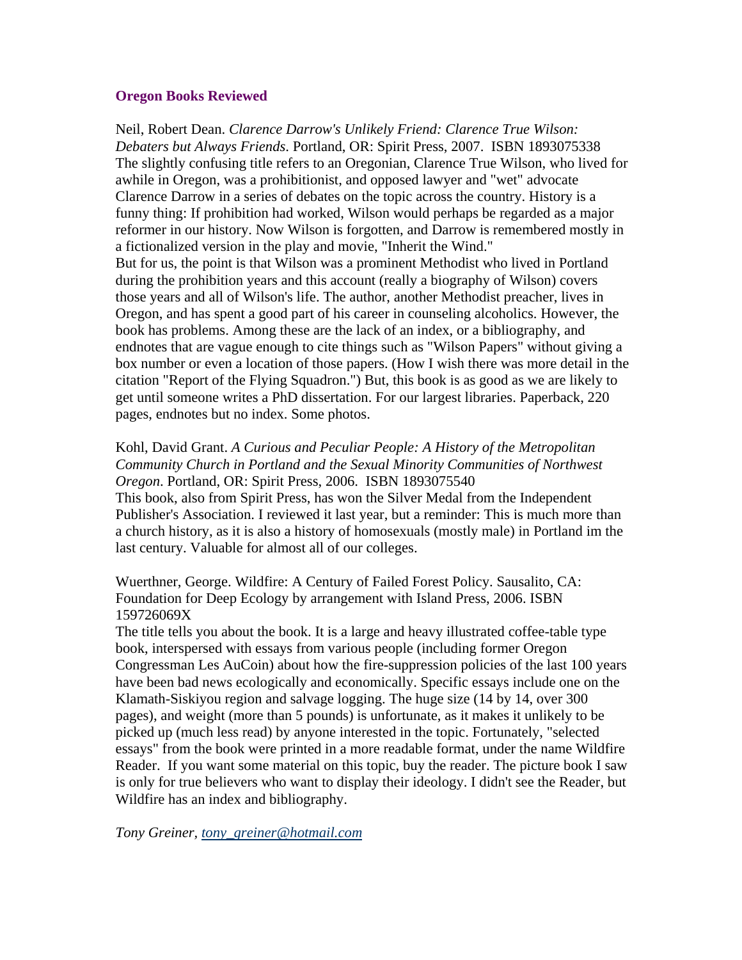#### <span id="page-5-0"></span>**Oregon Books Reviewed**

Neil, Robert Dean. *Clarence Darrow's Unlikely Friend: Clarence True Wilson: Debaters but Always Friends*. Portland, OR: Spirit Press, 2007. ISBN 1893075338 The slightly confusing title refers to an Oregonian, Clarence True Wilson, who lived for awhile in Oregon, was a prohibitionist, and opposed lawyer and "wet" advocate Clarence Darrow in a series of debates on the topic across the country. History is a funny thing: If prohibition had worked, Wilson would perhaps be regarded as a major reformer in our history. Now Wilson is forgotten, and Darrow is remembered mostly in a fictionalized version in the play and movie, "Inherit the Wind." But for us, the point is that Wilson was a prominent Methodist who lived in Portland during the prohibition years and this account (really a biography of Wilson) covers those years and all of Wilson's life. The author, another Methodist preacher, lives in Oregon, and has spent a good part of his career in counseling alcoholics. However, the book has problems. Among these are the lack of an index, or a bibliography, and endnotes that are vague enough to cite things such as "Wilson Papers" without giving a box number or even a location of those papers. (How I wish there was more detail in the citation "Report of the Flying Squadron.") But, this book is as good as we are likely to get until someone writes a PhD dissertation. For our largest libraries. Paperback, 220 pages, endnotes but no index. Some photos.

### Kohl, David Grant. *A Curious and Peculiar People: A History of the Metropolitan Community Church in Portland and the Sexual Minority Communities of Northwest Oregon*. Portland, OR: Spirit Press, 2006. ISBN 1893075540

This book, also from Spirit Press, has won the Silver Medal from the Independent Publisher's Association. I reviewed it last year, but a reminder: This is much more than a church history, as it is also a history of homosexuals (mostly male) in Portland im the last century. Valuable for almost all of our colleges.

Wuerthner, George. Wildfire: A Century of Failed Forest Policy. Sausalito, CA: Foundation for Deep Ecology by arrangement with Island Press, 2006. ISBN 159726069X

The title tells you about the book. It is a large and heavy illustrated coffee-table type book, interspersed with essays from various people (including former Oregon Congressman Les AuCoin) about how the fire-suppression policies of the last 100 years have been bad news ecologically and economically. Specific essays include one on the Klamath-Siskiyou region and salvage logging. The huge size (14 by 14, over 300 pages), and weight (more than 5 pounds) is unfortunate, as it makes it unlikely to be picked up (much less read) by anyone interested in the topic. Fortunately, "selected essays" from the book were printed in a more readable format, under the name Wildfire Reader. If you want some material on this topic, buy the reader. The picture book I saw is only for true believers who want to display their ideology. I didn't see the Reader, but Wildfire has an index and bibliography.

*Tony Greiner, [tony\\_greiner@hotmail.com](mailto:tony_greiner@hotmail.com)*